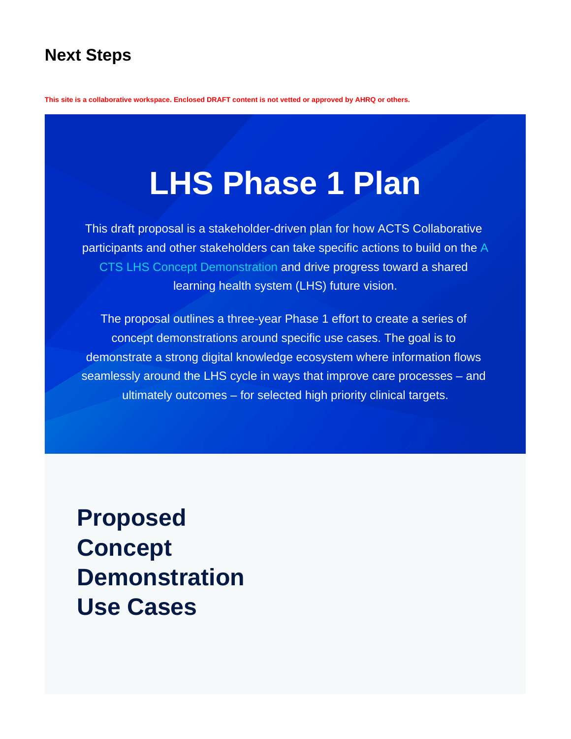# **Next Steps**

**This site is a collaborative workspace. Enclosed DRAFT content is not vetted or approved by AHRQ or others.**

# **LHS Phase 1 Plan**

This draft proposal is a stakeholder-driven plan for how ACTS Collaborative participants and other stakeholders can take specific actions to build on the [A](https://covid-acts.ahrq.gov/display/PUB/ACTS+LHS+Concept+Demonstration) [CTS LHS Concept Demonstration](https://covid-acts.ahrq.gov/display/PUB/ACTS+LHS+Concept+Demonstration) and drive progress toward a shared learning health system (LHS) future vision.

The proposal outlines a three-year Phase 1 effort to create a series of concept demonstrations around specific use cases. The goal is to demonstrate a strong digital knowledge ecosystem where information flows seamlessly around the LHS cycle in ways that improve care processes – and ultimately outcomes – for selected high priority clinical targets.

**Proposed Concept Demonstration Use Cases**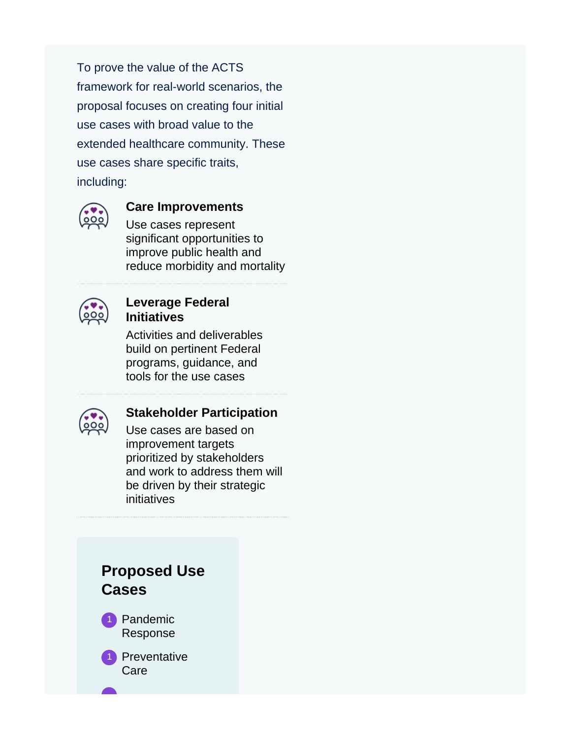To prove the value of the ACTS framework for real-world scenarios, the proposal focuses on creating four initial use cases with broad value to the extended healthcare community. These use cases share specific traits, including:



#### **Care Improvements**

Use cases represent significant opportunities to improve public health and reduce morbidity and mortality



#### **Leverage Federal Initiatives**

Activities and deliverables build on pertinent Federal programs, guidance, and tools for the use cases



#### **Stakeholder Participation**

Use cases are based on improvement targets prioritized by stakeholders and work to address them will be driven by their strategic initiatives

# **Proposed Use Cases**

1 Pandemic Response

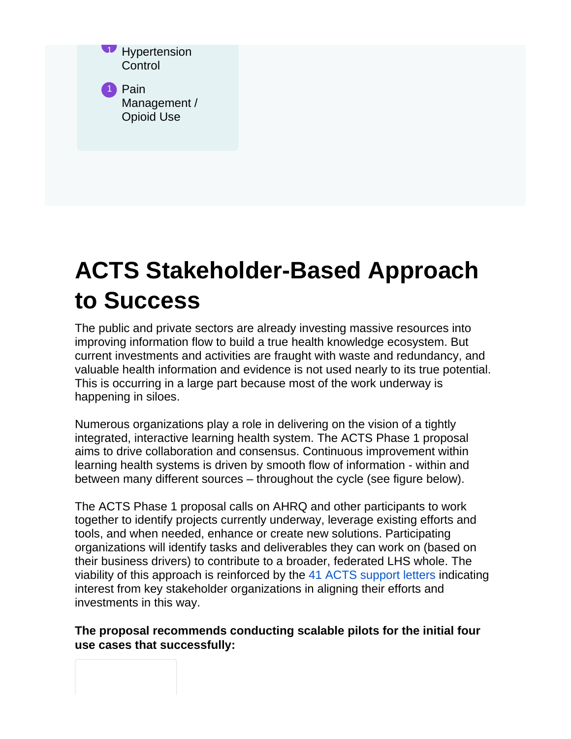| Pain<br>$\vert$ 1<br>Management /<br>Opioid Use |  |
|-------------------------------------------------|--|
|                                                 |  |

# **ACTS Stakeholder-Based Approach to Success**

The public and private sectors are already investing massive resources into improving information flow to build a true health knowledge ecosystem. But current investments and activities are fraught with waste and redundancy, and valuable health information and evidence is not used nearly to its true potential. This is occurring in a large part because most of the work underway is happening in siloes.

Numerous organizations play a role in delivering on the vision of a tightly integrated, interactive learning health system. The ACTS Phase 1 proposal aims to drive collaboration and consensus. Continuous improvement within learning health systems is driven by smooth flow of information - within and between many different sources – throughout the cycle (see figure below).

The ACTS Phase 1 proposal calls on AHRQ and other participants to work together to identify projects currently underway, leverage existing efforts and tools, and when needed, enhance or create new solutions. Participating organizations will identify tasks and deliverables they can work on (based on their business drivers) to contribute to a broader, federated LHS whole. The viability of this approach is reinforced by the [41 ACTS support letters](https://covid-acts.ahrq.gov/display/PUB/ACTS+Support+Letters) indicating interest from key stakeholder organizations in aligning their efforts and investments in this way.

#### **The proposal recommends conducting scalable pilots for the initial four use cases that successfully:**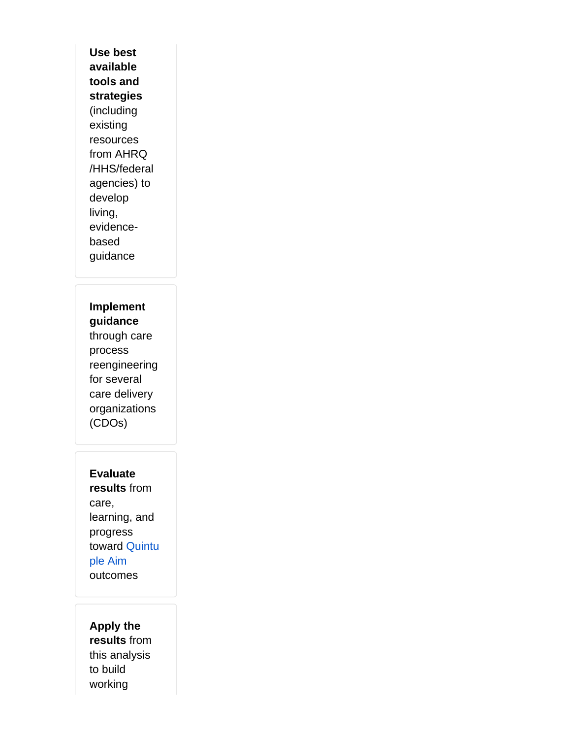**Use best available tools and strategies** (including existing resources from AHRQ /HHS/federal agencies) to develop living, evidencebased guidance

**Implement guidance** through care process reengineering for several care delivery organizations (CDOs)

**Evaluate results** from care, learning, and progress toward [Quintu](https://www.ahrq.gov/ncepcr/tools/workforce-financing/white-paper.html#tab2) [ple Aim](https://www.ahrq.gov/ncepcr/tools/workforce-financing/white-paper.html#tab2) outcomes

**Apply the results** from this analysis to build working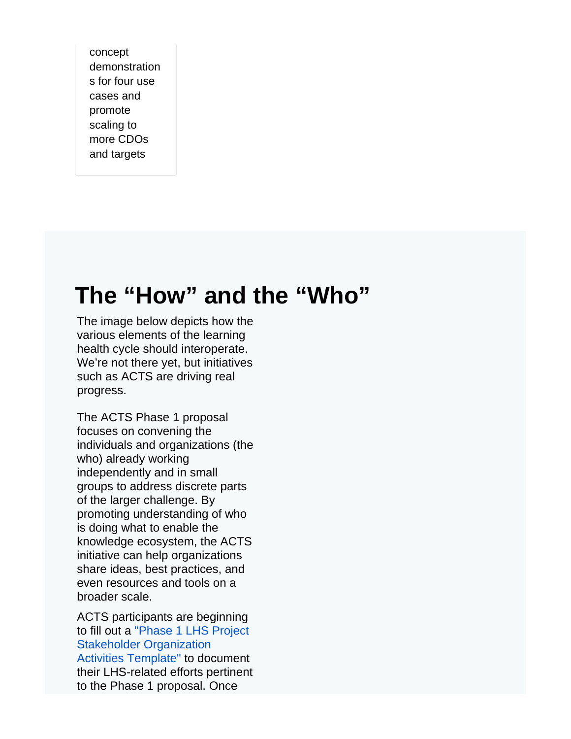concept demonstration s for four use cases and promote scaling to more CDOs and targets

# **The "How" and the "Who"**

The image below depicts how the various elements of the learning health cycle should interoperate. We're not there yet, but initiatives such as ACTS are driving real progress.

The ACTS Phase 1 proposal focuses on convening the individuals and organizations (the who) already working independently and in small groups to address discrete parts of the larger challenge. By promoting understanding of who is doing what to enable the knowledge ecosystem, the ACTS initiative can help organizations share ideas, best practices, and even resources and tools on a broader scale.

ACTS participants are beginning to fill out a ["Phase 1 LHS Project](https://covid-acts.ahrq.gov/download/attachments/70484024/Phase%201%20LHS%20Project%20-%20Stakeholder%20Organization%20Activities%20Template%20v9.23.21.docx?api=v2)  [Stakeholder Organization](https://covid-acts.ahrq.gov/download/attachments/70484024/Phase%201%20LHS%20Project%20-%20Stakeholder%20Organization%20Activities%20Template%20v9.23.21.docx?api=v2)  [Activities Template"](https://covid-acts.ahrq.gov/download/attachments/70484024/Phase%201%20LHS%20Project%20-%20Stakeholder%20Organization%20Activities%20Template%20v9.23.21.docx?api=v2) to document their LHS-related efforts pertinent to the Phase 1 proposal. Once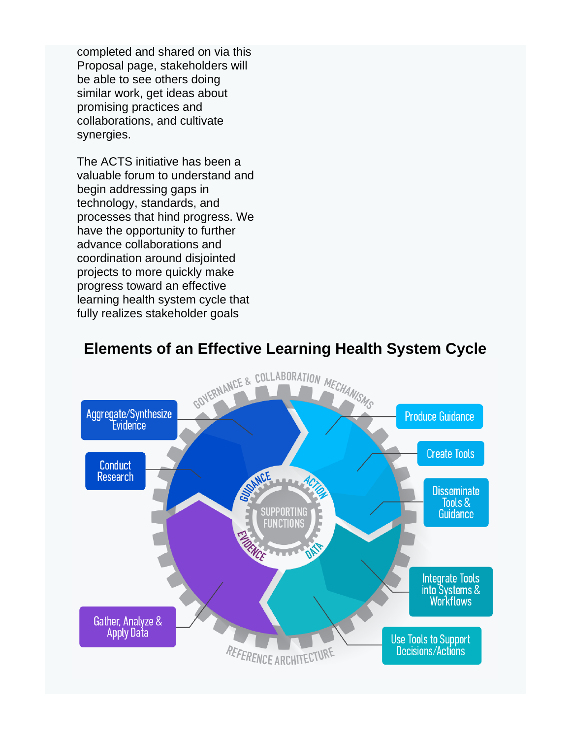completed and shared on via this Proposal page, stakeholders will be able to see others doing similar work, get ideas about promising practices and collaborations, and cultivate synergies.

The ACTS initiative has been a valuable forum to understand and begin addressing gaps in technology, standards, and processes that hind progress. We have the opportunity to further advance collaborations and coordination around disjointed projects to more quickly make progress toward an effective learning health system cycle that fully realizes stakeholder goals



## **Elements of an Effective Learning Health System Cycle**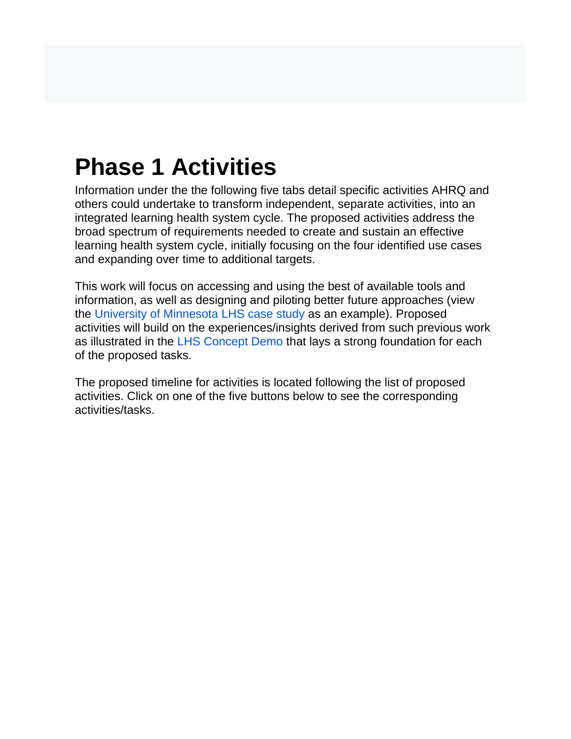# **Phase 1 Activities**

Information under the the following five tabs detail specific activities AHRQ and others could undertake to transform independent, separate activities, into an integrated learning health system cycle. The proposed activities address the broad spectrum of requirements needed to create and sustain an effective learning health system cycle, initially focusing on the four identified use cases and expanding over time to additional targets.

This work will focus on accessing and using the best of available tools and information, as well as designing and piloting better future approaches (view the [University of Minnesota LHS case study](https://covid-acts.ahrq.gov/display/PUB/LHS+Case+Study) as an example). Proposed activities will build on the experiences/insights derived from such previous work as illustrated in the [LHS Concept Demo](https://covid-acts.ahrq.gov/display/PUB) that lays a strong foundation for each of the proposed tasks.

The proposed timeline for activities is located following the list of proposed activities. Click on one of the five buttons below to see the corresponding activities/tasks.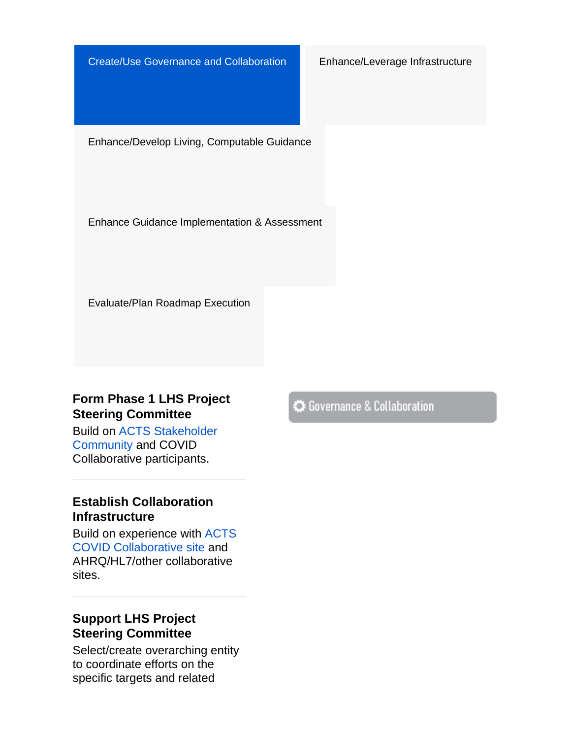Create/Use Governance and Collaboration Enhance/Leverage Infrastructure

Enhance/Develop Living, Computable Guidance

Enhance Guidance Implementation & Assessment

Evaluate/Plan Roadmap Execution

### **Form Phase 1 LHS Project Steering Committee**

Build on [ACTS Stakeholder](https://digital.ahrq.gov/acts/stakeholder-community)  [Community](https://digital.ahrq.gov/acts/stakeholder-community) and COVID Collaborative participants.

### **Establish Collaboration Infrastructure**

Build on experience with [ACTS](https://covid-acts.ahrq.gov/display/ACLC/ACTS+COVID-19+Evidence+to+Guidance+to+Action+Collaborative)  [COVID Collaborative site](https://covid-acts.ahrq.gov/display/ACLC/ACTS+COVID-19+Evidence+to+Guidance+to+Action+Collaborative) and AHRQ/HL7/other collaborative sites.

### **Support LHS Project Steering Committee**

Select/create overarching entity to coordinate efforts on the specific targets and related

Governance & Collaboration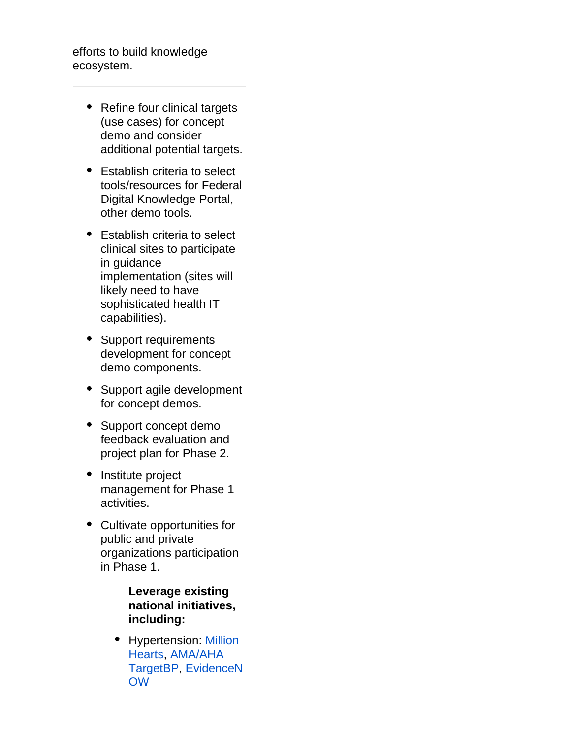efforts to build knowledge ecosystem.

- Refine four clinical targets (use cases) for concept demo and consider additional potential targets.
- Establish criteria to select tools/resources for Federal Digital Knowledge Portal, other demo tools.
- Establish criteria to select clinical sites to participate in guidance implementation (sites will likely need to have sophisticated health IT capabilities).
- Support requirements development for concept demo components.
- Support agile development for concept demos.
- Support concept demo feedback evaluation and project plan for Phase 2.
- Institute project management for Phase 1 activities.
- Cultivate opportunities for public and private organizations participation in Phase 1.

**Leverage existing national initiatives, including:**

• Hypertension: Million [Hearts,](https://millionhearts.hhs.gov/) [AMA/AHA](https://targetbp.org/)  [TargetBP,](https://targetbp.org/) [EvidenceN](https://www.ahrq.gov/evidencenow/tools/index.html) [OW](https://www.ahrq.gov/evidencenow/tools/index.html)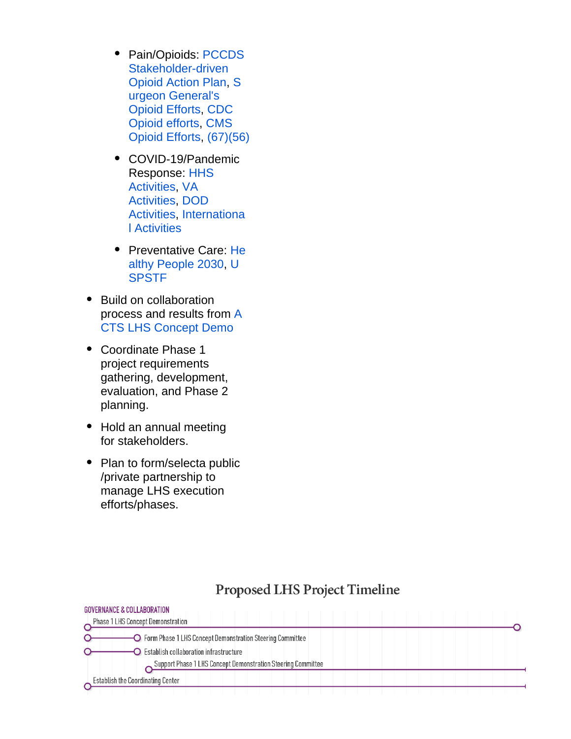- Pain/Opioids: [PCCDS](https://www.pccds-ln.org/sites/default/files/2019-04/LearningNetwork_OpioidActionPlan.pdf) [Stakeholder-driven](https://www.pccds-ln.org/sites/default/files/2019-04/LearningNetwork_OpioidActionPlan.pdf)  [Opioid Action Plan,](https://www.pccds-ln.org/sites/default/files/2019-04/LearningNetwork_OpioidActionPlan.pdf) [S](https://addiction.surgeongeneral.gov/) [urgeon General's](https://addiction.surgeongeneral.gov/)  [Opioid Efforts](https://addiction.surgeongeneral.gov/), [CDC](https://www.cdc.gov/opioids/index.html)  [Opioid efforts,](https://www.cdc.gov/opioids/index.html) [CMS](https://www.cms.gov/About-CMS/Story-Page/Reducing-Opioid-Misuse)  [Opioid Efforts](https://www.cms.gov/About-CMS/Story-Page/Reducing-Opioid-Misuse), [\(67\)](https://covid-acts.ahrq.gov/display/PUB/References#67.)[\(56\)](https://covid-acts.ahrq.gov/display/PUB/References#56.)
- COVID-19/Pandemic Response: [HHS](https://www.hhs.gov/coronavirus/index.html)  [Activities](https://www.hhs.gov/coronavirus/index.html), [VA](https://www.publichealth.va.gov/n-coronavirus/)  [Activities](https://www.publichealth.va.gov/n-coronavirus/), [DOD](https://www.defense.gov/Explore/Spotlight/Coronavirus-DOD-Response/)  [Activities](https://www.defense.gov/Explore/Spotlight/Coronavirus-DOD-Response/), [Internationa](https://www.mcmasterforum.org/networks/covid-end) [l Activities](https://www.mcmasterforum.org/networks/covid-end)
- Preventative Care: [He](https://health.gov/healthypeople/objectives-and-data/browse-objectives/preventive-care) [althy People 2030](https://health.gov/healthypeople/objectives-and-data/browse-objectives/preventive-care), [U](https://www.uspreventiveservicestaskforce.org/uspstf/) **[SPSTF](https://www.uspreventiveservicestaskforce.org/uspstf/)**
- Build on collaboration process and results from [A](https://covid-acts.ahrq.gov/display/PUB) [CTS LHS Concept Demo](https://covid-acts.ahrq.gov/display/PUB)
- Coordinate Phase 1 project requirements gathering, development, evaluation, and Phase 2 planning.
- Hold an annual meeting for stakeholders.
- Plan to form/selecta public /private partnership to manage LHS execution efforts/phases.

CONFINANCE 9 COLLADORATION

# **Proposed LHS Project Timeline**

| <b>QUYERINANGE &amp; GULLADURATION</b>                       |  |
|--------------------------------------------------------------|--|
| Phase 1 LHS Concept Demonstration                            |  |
| O Form Phase 1 LHS Concept Demonstration Steering Committee  |  |
| $\Box$ Establish collaboration infrastructure                |  |
| Support Phase 1 LHS Concept Demonstration Steering Committee |  |
| <b>Establish the Coordinating Center</b>                     |  |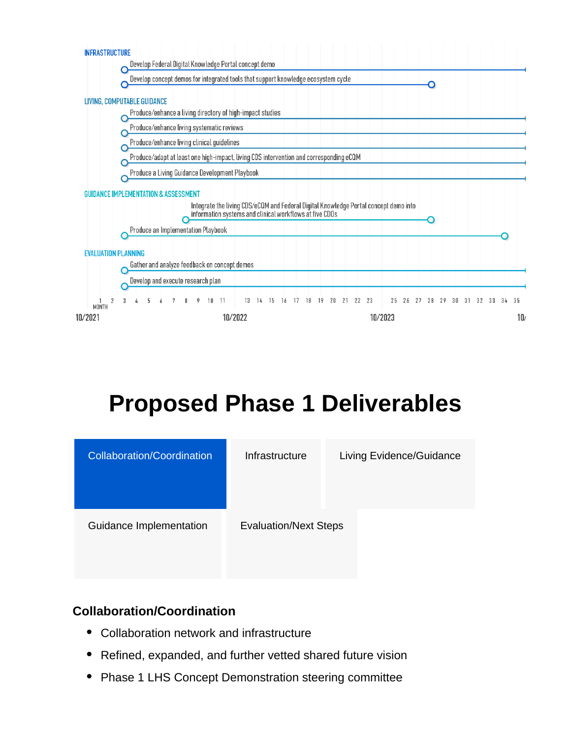

# **Proposed Phase 1 Deliverables**

| <b>Collaboration/Coordination</b> | Infrastructure               | Living Evidence/Guidance |
|-----------------------------------|------------------------------|--------------------------|
| Guidance Implementation           | <b>Evaluation/Next Steps</b> |                          |

### **Collaboration/Coordination**

- Collaboration network and infrastructure  $\bullet$
- Refined, expanded, and further vetted shared future vision
- Phase 1 LHS Concept Demonstration steering committee